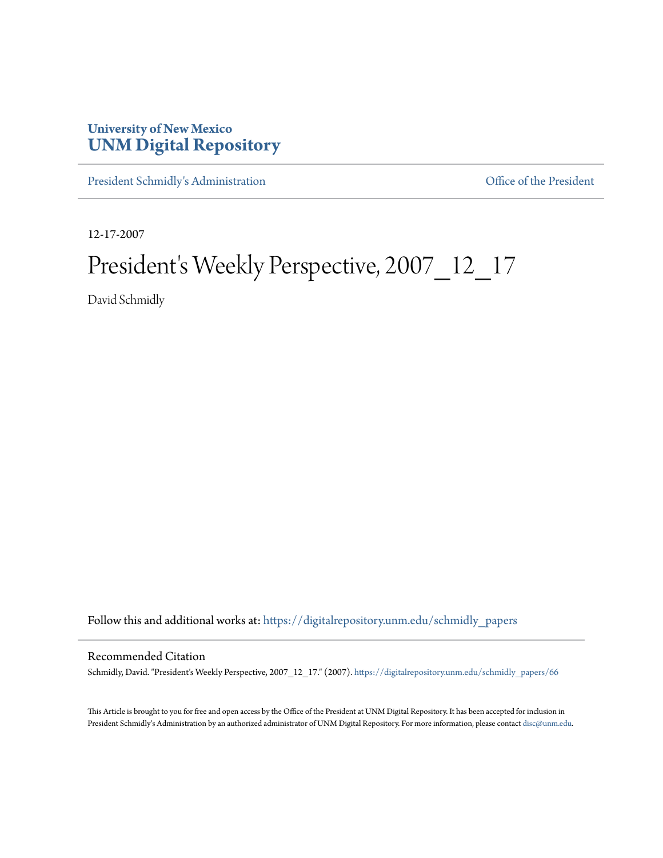## **University of New Mexico [UNM Digital Repository](https://digitalrepository.unm.edu?utm_source=digitalrepository.unm.edu%2Fschmidly_papers%2F66&utm_medium=PDF&utm_campaign=PDFCoverPages)**

[President Schmidly's Administration](https://digitalrepository.unm.edu/schmidly_papers?utm_source=digitalrepository.unm.edu%2Fschmidly_papers%2F66&utm_medium=PDF&utm_campaign=PDFCoverPages) [Office of the President](https://digitalrepository.unm.edu/ofc_president?utm_source=digitalrepository.unm.edu%2Fschmidly_papers%2F66&utm_medium=PDF&utm_campaign=PDFCoverPages)

12-17-2007

## President's Weekly Perspective, 2007\_12\_17

David Schmidly

Follow this and additional works at: [https://digitalrepository.unm.edu/schmidly\\_papers](https://digitalrepository.unm.edu/schmidly_papers?utm_source=digitalrepository.unm.edu%2Fschmidly_papers%2F66&utm_medium=PDF&utm_campaign=PDFCoverPages)

## Recommended Citation

Schmidly, David. "President's Weekly Perspective, 2007\_12\_17." (2007). [https://digitalrepository.unm.edu/schmidly\\_papers/66](https://digitalrepository.unm.edu/schmidly_papers/66?utm_source=digitalrepository.unm.edu%2Fschmidly_papers%2F66&utm_medium=PDF&utm_campaign=PDFCoverPages)

This Article is brought to you for free and open access by the Office of the President at UNM Digital Repository. It has been accepted for inclusion in President Schmidly's Administration by an authorized administrator of UNM Digital Repository. For more information, please contact [disc@unm.edu](mailto:disc@unm.edu).